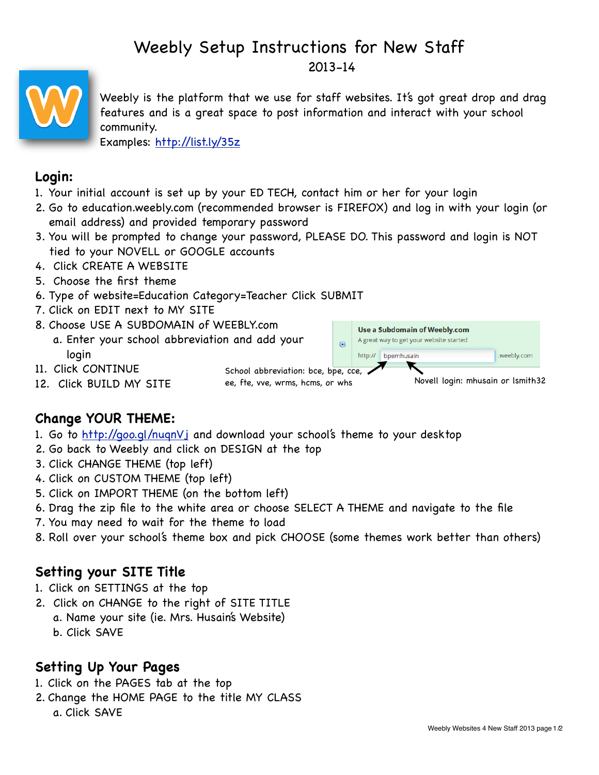# Weebly Setup Instructions for New Staff 2013-14



Weebly is the platform that we use for staff websites. It's got great drop and drag features and is a great space to post information and interact with your school community.

Examples: <http://list.ly/35z>

## **Login:**

- 1. Your initial account is set up by your ED TECH, contact him or her for your login
- 2. Go to education.weebly.com (recommended browser is FIREFOX) and log in with your login (or email address) and provided temporary password
- 3. You will be prompted to change your password, PLEASE DO. This password and login is NOT tied to your NOVELL or GOOGLE accounts
- 4. Click CREATE A WEBSITE
- 5. Choose the first theme
- 6. Type of website=Education Category=Teacher Click SUBMIT
- 7. Click on EDIT next to MY SITE
- 8. Choose USE A SUBDOMAIN of WEEBLY.com
	- a. Enter your school abbreviation and add your login
- Use a Subdomain of Weebly.com A great way to get your website started  $\odot$ http:// bpemhusain .weebly.com
- 11. Click CONTINUE
- 12. Click BUILD MY SITE

School abbreviation: bce, bpe, cce, ee, fte, vve, wrms, hcms, or whs Novell login: mhusain or lsmith32

# **Change YOUR THEME:**

- 1. Go to <http://goo.gl/nuqnVj>and download your school's theme to your desktop
- 2. Go back to Weebly and click on DESIGN at the top
- 3. Click CHANGE THEME (top left)
- 4. Click on CUSTOM THEME (top left)
- 5. Click on IMPORT THEME (on the bottom left)
- 6. Drag the zip file to the white area or choose SELECT A THEME and navigate to the file
- 7. You may need to wait for the theme to load
- 8. Roll over your school's theme box and pick CHOOSE (some themes work better than others)

## **Setting your SITE Title**

- 1. Click on SETTINGS at the top
- 2. Click on CHANGE to the right of SITE TITLE
	- a. Name your site (ie. Mrs. Husain's Website)
	- b. Click SAVE

## **Setting Up Your Pages**

- 1. Click on the PAGES tab at the top
- 2. Change the HOME PAGE to the title MY CLASS
	- a. Click SAVE